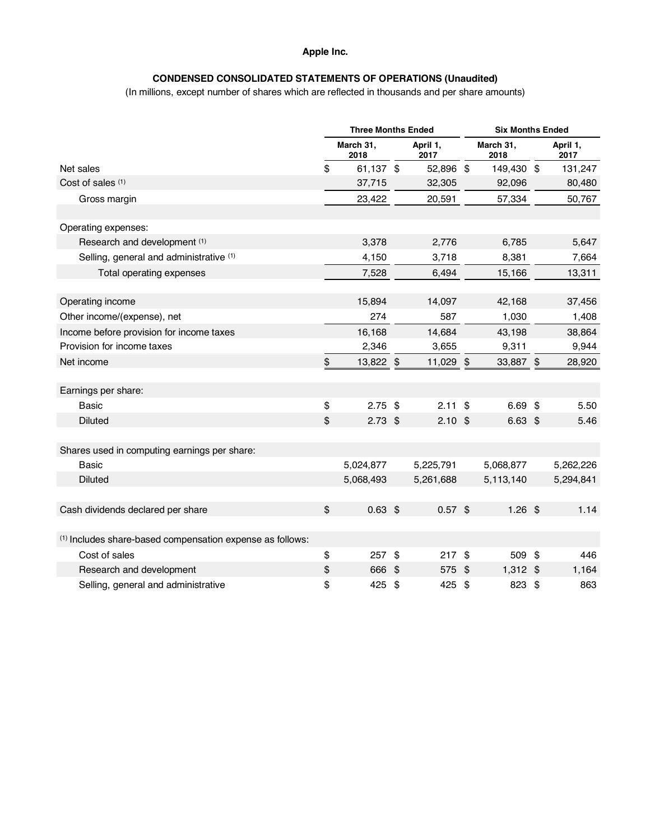#### **Apple Inc.**

# **CONDENSED CONSOLIDATED STATEMENTS OF OPERATIONS (Unaudited)**

(In millions, except number of shares which are reflected in thousands and per share amounts)

|                                                                      | <b>Three Months Ended</b> |                   |    | <b>Six Months Ended</b> |    |                   |    |                  |
|----------------------------------------------------------------------|---------------------------|-------------------|----|-------------------------|----|-------------------|----|------------------|
|                                                                      |                           | March 31,<br>2018 |    | April 1,<br>2017        |    | March 31,<br>2018 |    | April 1,<br>2017 |
| Net sales                                                            | \$                        | 61,137 \$         |    | 52,896 \$               |    | 149,430 \$        |    | 131,247          |
| Cost of sales (1)                                                    |                           | 37,715            |    | 32,305                  |    | 92,096            |    | 80,480           |
| Gross margin                                                         |                           | 23,422            |    | 20,591                  |    | 57,334            |    | 50,767           |
| Operating expenses:                                                  |                           |                   |    |                         |    |                   |    |                  |
| Research and development (1)                                         |                           | 3,378             |    | 2,776                   |    | 6,785             |    | 5,647            |
|                                                                      |                           |                   |    |                         |    |                   |    |                  |
| Selling, general and administrative (1)                              |                           | 4,150             |    | 3,718                   |    | 8,381             |    | 7,664            |
| Total operating expenses                                             |                           | 7,528             |    | 6,494                   |    | 15,166            |    | 13,311           |
| Operating income                                                     |                           | 15,894            |    | 14,097                  |    | 42,168            |    | 37,456           |
| Other income/(expense), net                                          |                           | 274               |    | 587                     |    | 1,030             |    | 1,408            |
| Income before provision for income taxes                             |                           | 16,168            |    | 14,684                  |    | 43,198            |    | 38,864           |
| Provision for income taxes                                           |                           | 2,346             |    | 3,655                   |    | 9,311             |    | 9,944            |
| Net income                                                           | \$                        | 13,822 \$         |    | 11,029 \$               |    | 33,887 \$         |    | 28,920           |
| Earnings per share:                                                  |                           |                   |    |                         |    |                   |    |                  |
| <b>Basic</b>                                                         | \$                        | $2.75$ \$         |    | $2.11$ \$               |    | $6.69$ \$         |    | 5.50             |
| <b>Diluted</b>                                                       | \$                        | $2.73$ \$         |    | $2.10$ \$               |    | $6.63$ \$         |    | 5.46             |
|                                                                      |                           |                   |    |                         |    |                   |    |                  |
| Shares used in computing earnings per share:                         |                           |                   |    |                         |    |                   |    |                  |
| <b>Basic</b>                                                         |                           | 5,024,877         |    | 5,225,791               |    | 5,068,877         |    | 5,262,226        |
| <b>Diluted</b>                                                       |                           | 5,068,493         |    | 5,261,688               |    | 5,113,140         |    | 5,294,841        |
|                                                                      |                           |                   |    |                         |    |                   |    |                  |
| Cash dividends declared per share                                    | $\boldsymbol{\mathsf{s}}$ | $0.63$ \$         |    | $0.57$ \$               |    | $1.26$ \$         |    | 1.14             |
| <sup>(1)</sup> Includes share-based compensation expense as follows: |                           |                   |    |                         |    |                   |    |                  |
| Cost of sales                                                        | \$                        | $257$ \$          |    | 217S                    |    | 509 \$            |    | 446              |
| Research and development                                             | \$                        | 666 \$            |    | 575                     | \$ | 1,312 \$          |    | 1,164            |
| Selling, general and administrative                                  | \$                        | 425               | \$ | 425                     | \$ | 823               | \$ | 863              |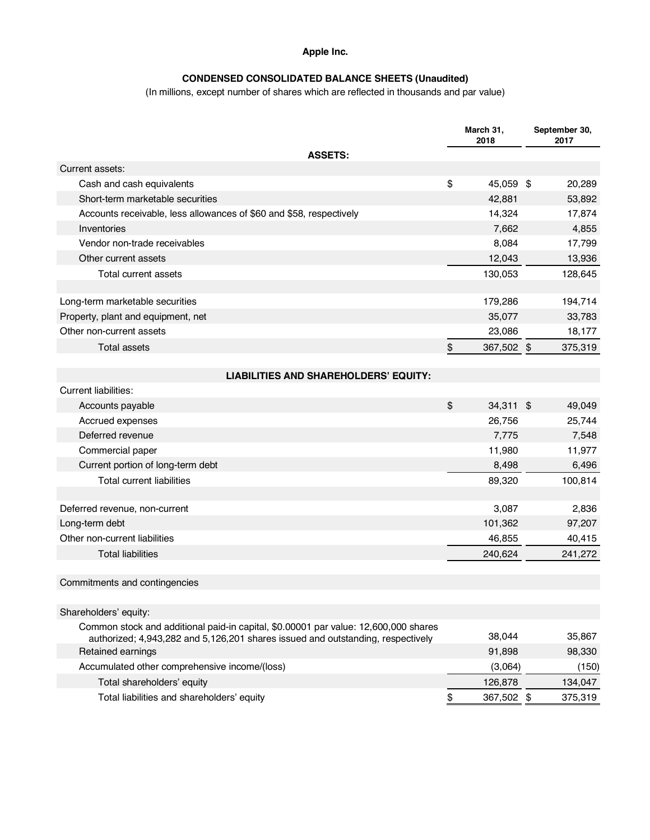### **Apple Inc.**

# **CONDENSED CONSOLIDATED BALANCE SHEETS (Unaudited)**

(In millions, except number of shares which are reflected in thousands and par value)

|                                                                                                                                                                        | March 31,<br>2018 |  | September 30,<br>2017 |  |
|------------------------------------------------------------------------------------------------------------------------------------------------------------------------|-------------------|--|-----------------------|--|
| <b>ASSETS:</b>                                                                                                                                                         |                   |  |                       |  |
| Current assets:                                                                                                                                                        |                   |  |                       |  |
| Cash and cash equivalents                                                                                                                                              | \$<br>45,059 \$   |  | 20,289                |  |
| Short-term marketable securities                                                                                                                                       | 42,881            |  | 53,892                |  |
| Accounts receivable, less allowances of \$60 and \$58, respectively                                                                                                    | 14,324            |  | 17,874                |  |
| Inventories                                                                                                                                                            | 7,662             |  | 4,855                 |  |
| Vendor non-trade receivables                                                                                                                                           | 8,084             |  | 17,799                |  |
| Other current assets                                                                                                                                                   | 12,043            |  | 13,936                |  |
| Total current assets                                                                                                                                                   | 130,053           |  | 128,645               |  |
| Long-term marketable securities                                                                                                                                        | 179,286           |  | 194,714               |  |
| Property, plant and equipment, net                                                                                                                                     | 35,077            |  | 33,783                |  |
| Other non-current assets                                                                                                                                               | 23,086            |  | 18,177                |  |
| <b>Total assets</b>                                                                                                                                                    | \$<br>367,502 \$  |  | 375,319               |  |
| <b>LIABILITIES AND SHAREHOLDERS' EQUITY:</b>                                                                                                                           |                   |  |                       |  |
| <b>Current liabilities:</b>                                                                                                                                            |                   |  |                       |  |
| Accounts payable                                                                                                                                                       | \$<br>34,311 \$   |  | 49,049                |  |
| Accrued expenses                                                                                                                                                       | 26,756            |  | 25,744                |  |
| Deferred revenue                                                                                                                                                       | 7,775             |  | 7,548                 |  |
| Commercial paper                                                                                                                                                       | 11,980            |  | 11,977                |  |
| Current portion of long-term debt                                                                                                                                      | 8,498             |  | 6,496                 |  |
| <b>Total current liabilities</b>                                                                                                                                       | 89,320            |  | 100,814               |  |
|                                                                                                                                                                        |                   |  |                       |  |
| Deferred revenue, non-current                                                                                                                                          | 3,087             |  | 2,836                 |  |
| Long-term debt                                                                                                                                                         | 101,362           |  | 97,207                |  |
| Other non-current liabilities                                                                                                                                          | 46,855            |  | 40,415                |  |
| <b>Total liabilities</b>                                                                                                                                               | 240,624           |  | 241,272               |  |
| Commitments and contingencies                                                                                                                                          |                   |  |                       |  |
| Shareholders' equity:                                                                                                                                                  |                   |  |                       |  |
| Common stock and additional paid-in capital, \$0.00001 par value: 12,600,000 shares<br>authorized; 4,943,282 and 5,126,201 shares issued and outstanding, respectively | 38,044            |  | 35,867                |  |
| Retained earnings                                                                                                                                                      | 91,898            |  | 98,330                |  |
| Accumulated other comprehensive income/(loss)                                                                                                                          | (3,064)           |  | (150)                 |  |
| Total shareholders' equity                                                                                                                                             | 126,878           |  | 134,047               |  |
| Total liabilities and shareholders' equity                                                                                                                             | \$<br>367,502 \$  |  | 375,319               |  |